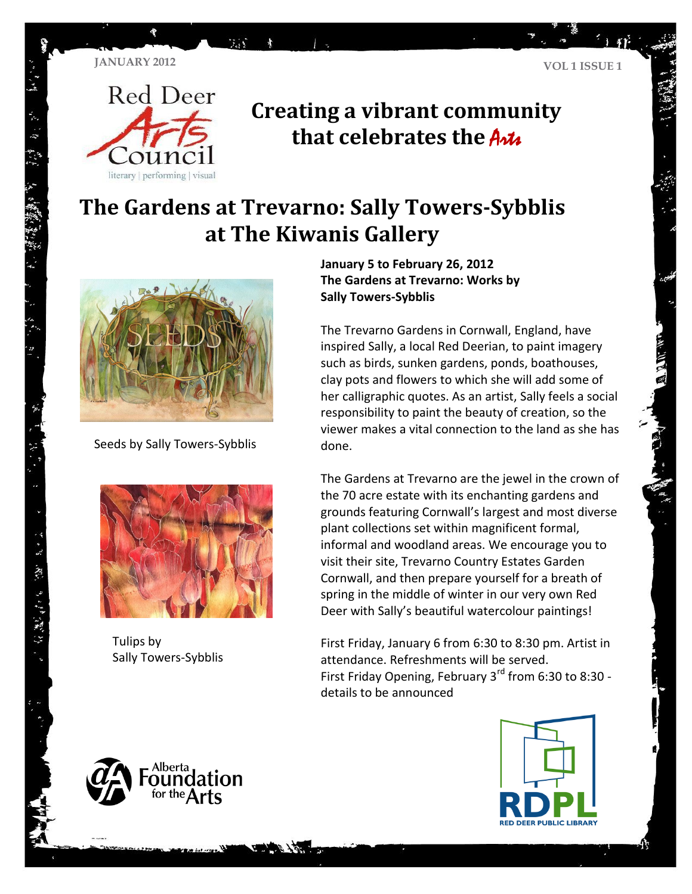

**TA** 

## **Creating a vibrant community that celebrates the Artic**

## **The Gardens at Trevarno: Sally Towers-Sybblis at The Kiwanis Gallery**



Seeds by Sally Towers-Sybblis



Tulips by Sally Towers-Sybblis

・ド スポーツ キャング ア

**Jan uary <sup>5</sup> to February 26, 2012 The Gardens at Trevarno: Works by Sally Towers-Sybblis**

The Trevarno Gardens in Cornwall, England, have inspired Sally, a local Red Deerian, to paint imagery such as birds, sunken gardens, ponds, boathouses, clay pots and flowers to which she will add some of her calligraphic quotes. As an artist, Sally feels a social responsibility to paint the beauty of creation, so the viewer makes a vital connection to the land as she has done.

The Gardens at Trevarno are the jewel in the crown of the 70 acre estate with its enchanting gardens and grounds featuring Cornwall's largest and most diverse plant collections set within magnificent formal, informal and woodland areas. We encourage you to visit their site, Trevarno Country Estates Garden Cornwall, and then prepare yourself for a breath of spring in the middle of winter in our very own Red Deer with Sally's beautiful watercolour paintings!

First Friday, January 6 from 6:30 to 8:30 pm. Artist in attendance. Refreshments will be served. First Friday Opening, February  $3<sup>rd</sup>$  from 6:30 to 8:30 details to be announced



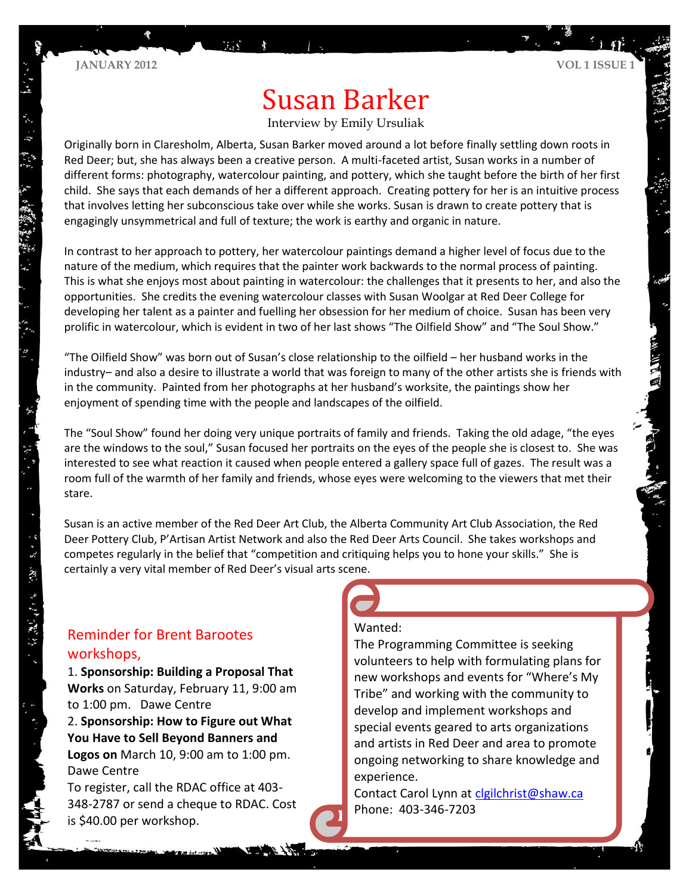# Susan Barker

#### Interview by Emily Ursuliak

Originally born in Claresholm, Alberta, Susan Barker moved around a lot before finally settling down roots in Red Deer; but, she has always been a creative person. A multi-faceted artist, Susan works in a number of different forms: photography, watercolour painting, and pottery, which she taught before the birth of her first child. She says that each demands of her a different approach. Creating pottery for her is an intuitive process that involves letting her subconscious take over while she works. Susan is drawn to create pottery that is engagingly unsymmetrical and full of texture; the work is earthy and organic in nature.

In contrast to her approach to pottery, her watercolour paintings demand a higher level of focus due to the nature of the medium, which requires that the painter work backwards to the normal process of painting. This is what she enjoys most about painting in watercolour: the challenges that it presents to her, and also the opportunities. She credits the evening watercolour classes with Susan Woolgar at Red Deer College for developing her talent as a painter and fuelling her obsession for her medium of choice. Susan has been very prolific in watercolour, which is evident in two of her last shows "The Oilfield Show" and "The Soul Show."

"The Oilfield Show" was born out of Susan's close relationship to the oilfield – her husband works in the industry– and also a desire to illustrate a world that was foreign to many of the other artists she is friends with in the community. Painted from her photographs at her husband's worksite, the paintings show her enjoyment of spending time with the people and landscapes of the oilfield.

The "Soul Show" found her doing very unique portraits of family and friends. Taking the old adage, "the eyes are the windows to the soul," Susan focused her portraits on the eyes of the people she is closest to. She was interested to see what reaction it caused when people entered a gallery space full of gazes. The result was a room full of the warmth of her family and friends, whose eyes were welcoming to the viewers that met their stare.

Susan is an active member of the Red Deer Art Club, the Alberta Community Art Club Association, the Red Deer Pottery Club, P'Artisan Artist Network and also the Red Deer Arts Council. She takes workshops and competes regularly in the belief that "competition and critiquing helps you to hone your skills." She is certainly a very vital member of Red Deer's visual arts scene.

### Reminder for Brent Barootes workshops,

ない。

1. **Sponsorship: Building a Proposal That Works** on Saturday, February 11, 9:00 am to 1:00 pm. Dawe Centre 2. **Sponsorship: How to Figure out What You Have to Sell Beyond Banners and Logos on** March 10, 9:00 am to 1:00 pm. Dawe Centre To register, call the RDAC office at 403- 348-2787 or send a cheque to RDAC. Cost is \$40.00 per workshop.

#### Wanted:

The Programming Committee is seeking volunteers to help with formulating plans for new workshops and events for "Where's My Tribe" and working with the community to develop and implement workshops and special events geared to arts organizations and artists in Red Deer and area to promote ongoing networking to share knowledge and experience.

Contact Carol Lynn at [clgilchrist@shaw.ca](mailto:clgilchrist@shaw.ca) Phone: 403-346-7203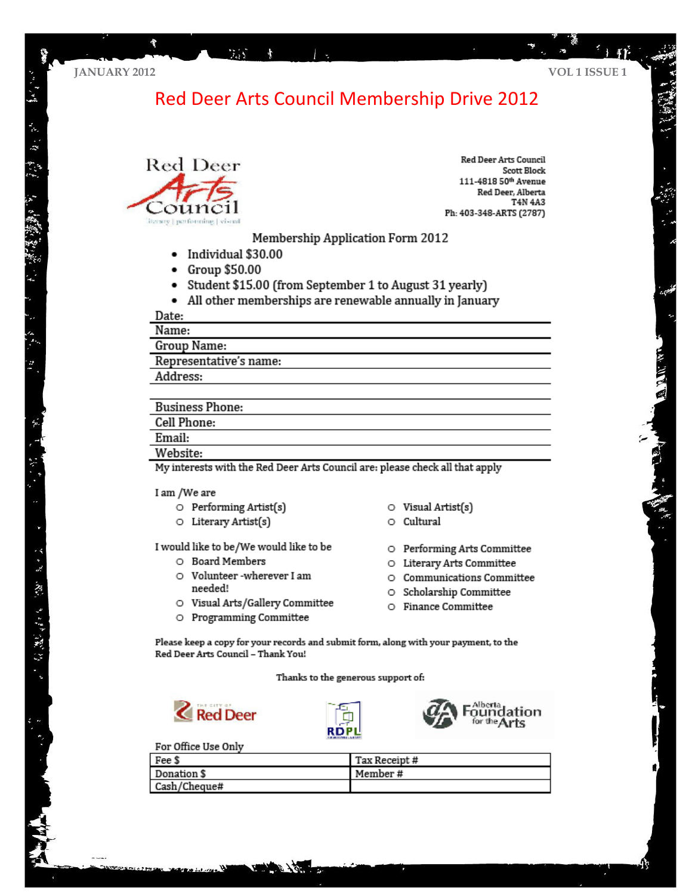贾

### Red Deer Arts Council Membership Drive 2012



**Red Deer Arts Council** Scott Block 111-4818 50th Avenue Red Deer, Alberta T4N 4A3 Ph: 403-348-ARTS (2787)

Membership Application Form 2012

Individual \$30.00  $\bullet$ 

mini

- Group \$50.00  $\bullet$
- Student \$15.00 (from September 1 to August 31 yearly)  $\bullet$
- All other memberships are renewable annually in January

Date:

Name:

Group Name:

Representative's name:

Address:

#### **Business Phone:**

Cell Phone:

#### Email:

· 3 現金 きげん (W)

Website:

My interests with the Red Deer Arts Council are: please check all that apply

#### I am /We are

- $\circ$  Performing Artist(s)
- O Literary Artist(s)

I would like to be/We would like to be

- O Board Members
- O Volunteer-wherever I am needed!
- O Visual Arts/Gallery Committee
- O Programming Committee
- $\circ$  Visual Artist(s)
- O Cultural

O Performing Arts Committee

- O Literary Arts Committee
- O Communications Committee
- O Scholarship Committee
- O Finance Committee

Please keep a copy for your records and submit form, along with your payment, to the Red Deer Arts Council - Thank You!

Thanks to the generous support of:







For Office Use Only

| Fee \$       | Tax Receipt # |
|--------------|---------------|
| Donation \$  | Member#       |
| Cash/Cheque# |               |